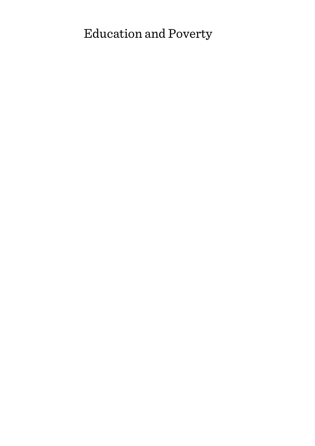# Education and Poverty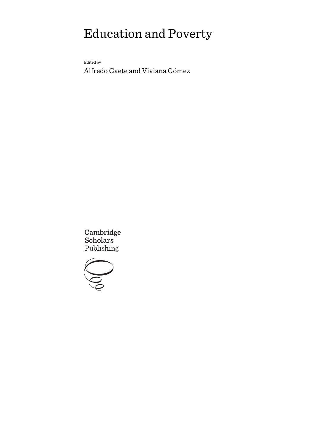# Education and Poverty

Edited by

Alfredo Gaete and Viviana Gómez

Cambridge Scholars Publishing

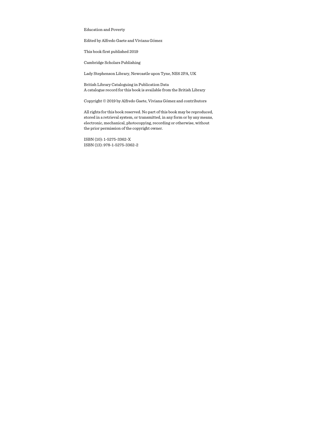Education and Poverty

Edited by Alfredo Gaete and Viviana Gómez

This book first published 2019

Cambridge Scholars Publishing

Lady Stephenson Library, Newcastle upon Tyne, NE6 2PA, UK

British Library Cataloguing in Publication Data A catalogue record for this book is available from the British Library

Copyright © 2019 by Alfredo Gaete, Viviana Gómez and contributors

All rights for this book reserved. No part of this book may be reproduced, stored in a retrieval system, or transmitted, in any form or by any means, electronic, mechanical, photocopying, recording or otherwise, without the prior permission of the copyright owner.

ISBN (10): 1-5275-3362-X ISBN (13): 978-1-5275-3362-2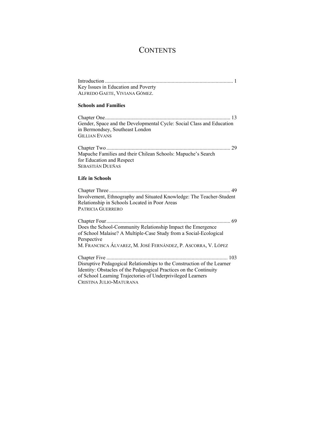## **CONTENTS**

| Key Issues in Education and Poverty |  |
|-------------------------------------|--|
| ALFREDO GAETE, VIVIANA GÓMEZ.       |  |

#### **Schools and Families**

| Gender, Space and the Developmental Cycle: Social Class and Education |  |
|-----------------------------------------------------------------------|--|
| in Bermondsey, Southeast London                                       |  |
| <b>GILLIAN EVANS</b>                                                  |  |
|                                                                       |  |

Mapuche Families and their Chilean Schools: Mapuche's Search for Education and Respect SEBASTIÁN DUEÑAS

#### **Life in Schools**

Chapter Three ........................................................................................... 49 Involvement, Ethnography and Situated Knowledge: The Teacher-Student Relationship in Schools Located in Poor Areas PATRICIA GUERRERO

Chapter Four ............................................................................................. 69 Does the School-Community Relationship Impact the Emergence of School Malaise? A Multiple-Case Study from a Social-Ecological Perspective M. FRANCISCA ÁLVAREZ, M. JOSÉ FERNÁNDEZ, P. ASCORRA, V. LÓPEZ Chapter Five ........................................................................................... 103

Disruptive Pedagogical Relationships to the Construction of the Learner Identity: Obstacles of the Pedagogical Practices on the Continuity of School Learning Trajectories of Underprivileged Learners CRISTINA JULIO-MATURANA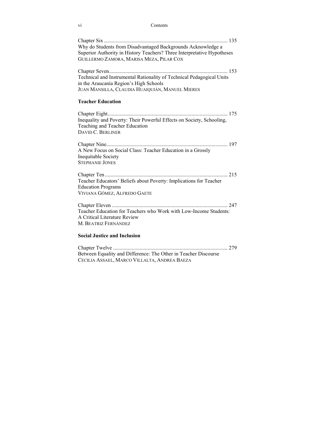| V1 | Contents |
|----|----------|
|    |          |

| Why do Students from Disadvantaged Backgrounds Acknowledge a<br>Superior Authority in History Teachers? Three Interpretative Hypotheses                            |
|--------------------------------------------------------------------------------------------------------------------------------------------------------------------|
| GUILLERMO ZAMORA, MARISA MEZA, PILAR COX                                                                                                                           |
| Technical and Instrumental Rationality of Technical Pedagogical Units<br>in the Araucanía Region's High Schools<br>JUAN MANSILLA, CLAUDIA HUAIQUIÁN, MANUEL MIERES |
|                                                                                                                                                                    |
| <b>Teacher Education</b>                                                                                                                                           |
| Inequality and Poverty: Their Powerful Effects on Society, Schooling,<br>Teaching and Teacher Education<br>DAVID C. BERLINER                                       |
| A New Focus on Social Class: Teacher Education in a Grossly<br>Inequitable Society<br><b>STEPHANIE JONES</b>                                                       |
|                                                                                                                                                                    |
| Teacher Educators' Beliefs about Poverty: Implications for Teacher<br><b>Education Programs</b><br>VIVIANA GÓMEZ, ALFREDO GAETE                                    |
|                                                                                                                                                                    |
| Teacher Education for Teachers who Work with Low-Income Students:<br>A Critical Literature Review<br>M. Beatriz Fernández                                          |
| <b>Social Justice and Inclusion</b>                                                                                                                                |
|                                                                                                                                                                    |

Between Equality and Difference: The Other in Teacher Discourse CECILIA ASSAEL, MARCO VILLALTA, ANDREA BAEZA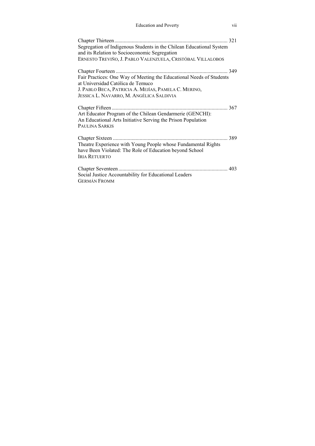| Segregation of Indigenous Students in the Chilean Educational System<br>and its Relation to Socioeconomic Segregation<br>ERNESTO TREVIÑO, J. PABLO VALENZUELA, CRISTÓBAL VILLALOBOS                           |
|---------------------------------------------------------------------------------------------------------------------------------------------------------------------------------------------------------------|
| Fair Practices: One Way of Meeting the Educational Needs of Students<br>at Universidad Católica de Temuco<br>J. PABLO BECA, PATRICIA A. MEJÍAS, PAMELA C. MERINO,<br>JESSICA L. NAVARRO, M. ANGÉLICA SALDIVIA |
| Art Educator Program of the Chilean Gendarmerie (GENCHI):<br>An Educational Arts Initiative Serving the Prison Population<br>PAULINA SARKIS                                                                   |
| Theatre Experience with Young People whose Fundamental Rights<br>have Been Violated: The Role of Education beyond School<br><b>IRIA RETUERTO</b>                                                              |
| Social Justice Accountability for Educational Leaders<br><b>GERMÁN FROMM</b>                                                                                                                                  |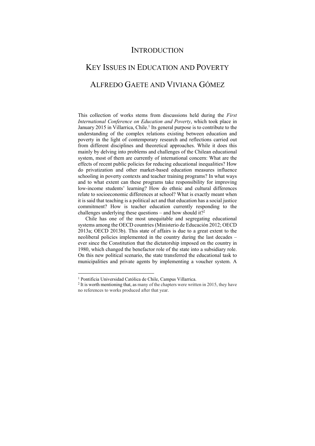### **INTRODUCTION**

# KEY ISSUES IN EDUCATION AND POVERTY ALFREDO GAETE AND VIVIANA GÓMEZ

This collection of works stems from discussions held during the *First International Conference on Education and Poverty*, which took place in January 2015 in Villarrica, Chile.<sup>1</sup> Its general purpose is to contribute to the understanding of the complex relations existing between education and poverty in the light of contemporary research and reflections carried out from different disciplines and theoretical approaches. While it does this mainly by delving into problems and challenges of the Chilean educational system, most of them are currently of international concern: What are the effects of recent public policies for reducing educational inequalities? How do privatization and other market-based education measures influence schooling in poverty contexts and teacher training programs? In what ways and to what extent can these programs take responsibility for improving low-income students' learning? How do ethnic and cultural differences relate to socioeconomic differences at school? What is exactly meant when it is said that teaching is a political act and that education has a social justice commitment? How is teacher education currently responding to the challenges underlying these questions – and how should it?<sup>2</sup>

Chile has one of the most unequitable and segregating educational systems among the OECD countries (Ministerio de Educación 2012; OECD 2013a; OECD 2013b). This state of affairs is due to a great extent to the neoliberal policies implemented in the country during the last decades – ever since the Constitution that the dictatorship imposed on the country in 1980, which changed the benefactor role of the state into a subsidiary role. On this new political scenario, the state transferred the educational task to municipalities and private agents by implementing a voucher system. A

 $\overline{a}$ 

<sup>&</sup>lt;sup>1</sup> Pontificia Universidad Católica de Chile, Campus Villarrica.<br><sup>2</sup> It is worth mentioning that, as many of the chapters were written in 2015, they have no references to works produced after that year.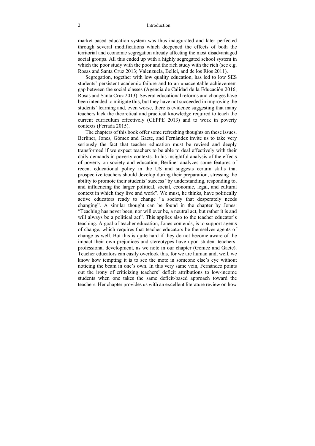#### 2 Introduction

market-based education system was thus inaugurated and later perfected through several modifications which deepened the effects of both the territorial and economic segregation already affecting the most disadvantaged social groups. All this ended up with a highly segregated school system in which the poor study with the poor and the rich study with the rich (see e.g. Rosas and Santa Cruz 2013; Valenzuela, Bellei, and de los Ríos 2011).

Segregation, together with low quality education, has led to low SES students' persistent academic failure and to an unacceptable achievement gap between the social classes (Agencia de Calidad de la Educación 2016; Rosas and Santa Cruz 2013). Several educational reforms and changes have been intended to mitigate this, but they have not succeeded in improving the students' learning and, even worse, there is evidence suggesting that many teachers lack the theoretical and practical knowledge required to teach the current curriculum effectively (CEPPE 2013) and to work in poverty contexts (Ferrada 2015).

The chapters of this book offer some refreshing thoughts on these issues. Berliner, Jones, Gómez and Gaete, and Fernández invite us to take very seriously the fact that teacher education must be revised and deeply transformed if we expect teachers to be able to deal effectively with their daily demands in poverty contexts. In his insightful analysis of the effects of poverty on society and education, Berliner analyzes some features of recent educational policy in the US and suggests certain skills that prospective teachers should develop during their preparation, stressing the ability to promote their students' success "by understanding, responding to, and influencing the larger political, social, economic, legal, and cultural context in which they live and work". We must, he thinks, have politically active educators ready to change "a society that desperately needs changing". A similar thought can be found in the chapter by Jones: "Teaching has never been, nor will ever be, a neutral act, but rather it is and will always be a political act". This applies also to the teacher educator's teaching. A goal of teacher education, Jones contends, is to support agents of change, which requires that teacher educators be themselves agents of change as well. But this is quite hard if they do not become aware of the impact their own prejudices and stereotypes have upon student teachers' professional development, as we note in our chapter (Gómez and Gaete). Teacher educators can easily overlook this, for we are human and, well, we know how tempting it is to see the mote in someone else's eye without noticing the beam in one's own. In this very same vein, Fernández points out the irony of criticizing teachers' deficit attributions to low-income students when one takes the same deficit-based approach toward the teachers. Her chapter provides us with an excellent literature review on how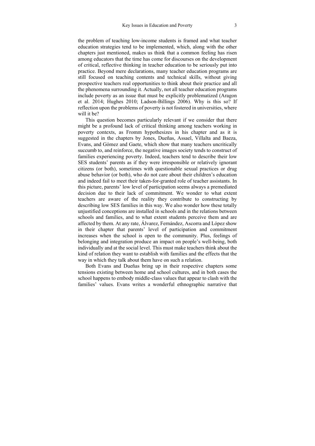the problem of teaching low-income students is framed and what teacher education strategies tend to be implemented, which, along with the other chapters just mentioned, makes us think that a common feeling has risen among educators that the time has come for discourses on the development of critical, reflective thinking in teacher education to be seriously put into practice. Beyond mere declarations, many teacher education programs are still focused on teaching contents and technical skills, without giving prospective teachers real opportunities to think about their practice and all the phenomena surrounding it. Actually, not all teacher education programs include poverty as an issue that must be explicitly problematized (Aragon et al. 2014; Hughes 2010; Ladson-Billings 2006). Why is this so? If reflection upon the problems of poverty is not fostered in universities, where will it be?

This question becomes particularly relevant if we consider that there might be a profound lack of critical thinking among teachers working in poverty contexts, as Fromm hypothesizes in his chapter and as it is suggested in the chapters by Jones, Dueñas, Assael, Villalta and Baeza, Evans, and Gómez and Gaete, which show that many teachers uncritically succumb to, and reinforce, the negative images society tends to construct of families experiencing poverty. Indeed, teachers tend to describe their low SES students' parents as if they were irresponsible or relatively ignorant citizens (or both), sometimes with questionable sexual practices or drug abuse behavior (or both), who do not care about their children's education and indeed fail to meet their taken-for-granted role of teacher assistants. In this picture, parents' low level of participation seems always a premediated decision due to their lack of commitment. We wonder to what extent teachers are aware of the reality they contribute to constructing by describing low SES families in this way. We also wonder how these totally unjustified conceptions are installed in schools and in the relations between schools and families, and to what extent students perceive them and are affected by them. At any rate, Álvarez, Fernández, Ascorra and López show in their chapter that parents' level of participation and commitment increases when the school is open to the community. Plus, feelings of belonging and integration produce an impact on people's well-being, both individually and at the social level. This must make teachers think about the kind of relation they want to establish with families and the effects that the way in which they talk about them have on such a relation.

Both Evans and Dueñas bring up in their respective chapters some tensions existing between home and school cultures, and in both cases the school happens to embody middle-class values that appear to clash with the families' values. Evans writes a wonderful ethnographic narrative that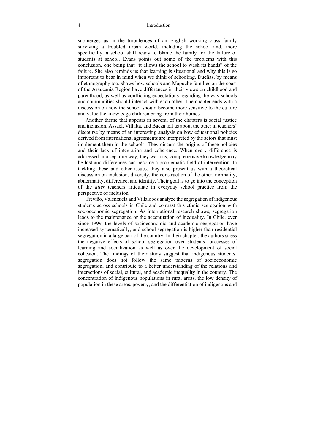#### 4 Introduction

submerges us in the turbulences of an English working class family surviving a troubled urban world, including the school and, more specifically, a school staff ready to blame the family for the failure of students at school. Evans points out some of the problems with this conclusion, one being that "it allows the school to wash its hands" of the failure. She also reminds us that learning is situational and why this is so important to bear in mind when we think of schooling. Dueñas, by means of ethnography too, shows how schools and Mapuche families on the coast of the Araucanía Region have differences in their views on childhood and parenthood, as well as conflicting expectations regarding the way schools and communities should interact with each other. The chapter ends with a discussion on how the school should become more sensitive to the culture and value the knowledge children bring from their homes.

Another theme that appears in several of the chapters is social justice and inclusion. Assael, Villalta, and Baeza tell us about the other in teachers' discourse by means of an interesting analysis on how educational policies derived from international agreements are interpreted by the actors that must implement them in the schools. They discuss the origins of these policies and their lack of integration and coherence. When every difference is addressed in a separate way, they warn us, comprehensive knowledge may be lost and differences can become a problematic field of intervention. In tackling these and other issues, they also present us with a theoretical discussion on inclusion, diversity, the construction of the other, normality, abnormality, difference, and identity. Their goal is to go into the conception of the *alter* teachers articulate in everyday school practice from the perspective of inclusion.

Treviño, Valenzuela and Villalobos analyze the segregation of indigenous students across schools in Chile and contrast this ethnic segregation with socioeconomic segregation. As international research shows, segregation leads to the maintenance or the accentuation of inequality. In Chile, ever since 1999, the levels of socioeconomic and academic segregation have increased systematically, and school segregation is higher than residential segregation in a large part of the country. In their chapter, the authors stress the negative effects of school segregation over students' processes of learning and socialization as well as over the development of social cohesion. The findings of their study suggest that indigenous students' segregation does not follow the same patterns of socioeconomic segregation, and contribute to a better understanding of the relations and interactions of social, cultural, and academic inequality in the country. The concentration of indigenous populations in rural areas, the low density of population in these areas, poverty, and the differentiation of indigenous and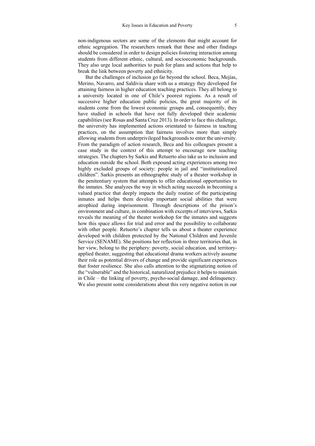non-indigenous sectors are some of the elements that might account for ethnic segregation. The researchers remark that these and other findings should be considered in order to design policies fostering interaction among students from different ethnic, cultural, and socioeconomic backgrounds. They also urge local authorities to push for plans and actions that help to break the link between poverty and ethnicity.

But the challenges of inclusion go far beyond the school. Beca, Mejías, Merino, Navarro, and Saldivia share with us a strategy they developed for attaining fairness in higher education teaching practices. They all belong to a university located in one of Chile's poorest regions. As a result of successive higher education public policies, the great majority of its students come from the lowest economic groups and, consequently, they have studied in schools that have not fully developed their academic capabilities (see Rosas and Santa Cruz 2013). In order to face this challenge, the university has implemented actions orientated to fairness in teaching practices, on the assumption that fairness involves more than simply allowing students from underprivileged backgrounds to enter the university. From the paradigm of action research, Beca and his colleagues present a case study in the context of this attempt to encourage new teaching strategies. The chapters by Sarkis and Retuerto also take us to inclusion and education outside the school. Both expound acting experiences among two highly excluded groups of society: people in jail and "institutionalized children". Sarkis presents an ethnographic study of a theater workshop in the penitentiary system that attempts to offer educational opportunities to the inmates. She analyzes the way in which acting succeeds in becoming a valued practice that deeply impacts the daily routine of the participating inmates and helps them develop important social abilities that were atrophied during imprisonment. Through descriptions of the prison's environment and culture, in combination with excerpts of interviews, Sarkis reveals the meaning of the theater workshop for the inmates and suggests how this space allows for trial and error and the possibility to collaborate with other people. Retuerto's chapter tells us about a theater experience developed with children protected by the National Children and Juvenile Service (SENAME). She positions her reflection in three territories that, in her view, belong to the periphery: poverty, social education, and territoryapplied theater, suggesting that educational drama workers actively assume their role as potential drivers of change and provide significant experiences that foster resilience. She also calls attention to the stigmatizing notion of the "vulnerable" and the historical, naturalized prejudice it helps to maintain in Chile – the linking of poverty, psycho-social damage, and delinquency. We also present some considerations about this very negative notion in our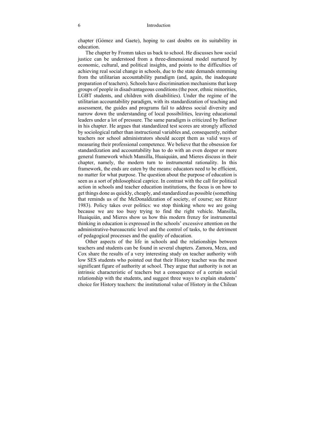chapter (Gómez and Gaete), hoping to cast doubts on its suitability in education.

The chapter by Fromm takes us back to school. He discusses how social justice can be understood from a three-dimensional model nurtured by economic, cultural, and political insights, and points to the difficulties of achieving real social change in schools, due to the state demands stemming from the utilitarian accountability paradigm (and, again, the inadequate preparation of teachers). Schools have discrimination mechanisms that keep groups of people in disadvantageous conditions (the poor, ethnic minorities, LGBT students, and children with disabilities). Under the regime of the utilitarian accountability paradigm, with its standardization of teaching and assessment, the guides and programs fail to address social diversity and narrow down the understanding of local possibilities, leaving educational leaders under a lot of pressure. The same paradigm is criticized by Berliner in his chapter. He argues that standardized test scores are strongly affected by sociological rather than instructional variables and, consequently, neither teachers nor school administrators should accept them as valid ways of measuring their professional competence. We believe that the obsession for standardization and accountability has to do with an even deeper or more general framework which Mansilla, Huaiquián, and Mieres discuss in their chapter, namely, the modern turn to instrumental rationality. In this framework, the ends are eaten by the means: educators need to be efficient, no matter for what purpose. The question about the purpose of education is seen as a sort of philosophical caprice. In contrast with the call for political action in schools and teacher education institutions, the focus is on how to get things done as quickly, cheaply, and standardized as possible (something that reminds us of the McDonaldization of society, of course; see Ritzer 1983). Policy takes over politics: we stop thinking where we are going because we are too busy trying to find the right vehicle. Mansilla, Huaiquián, and Mieres show us how this modern frenzy for instrumental thinking in education is expressed in the schools' excessive attention on the administrative-bureaucratic level and the control of tasks, to the detriment of pedagogical processes and the quality of education.

Other aspects of the life in schools and the relationships between teachers and students can be found in several chapters. Zamora, Meza, and Cox share the results of a very interesting study on teacher authority with low SES students who pointed out that their History teacher was the most significant figure of authority at school. They argue that authority is not an intrinsic characteristic of teachers but a consequence of a certain social relationship with the students, and suggest three ways to explain students' choice for History teachers: the institutional value of History in the Chilean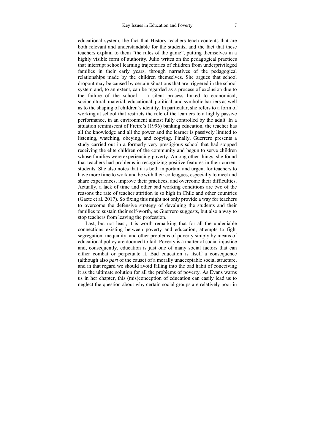educational system, the fact that History teachers teach contents that are both relevant and understandable for the students, and the fact that these teachers explain to them "the rules of the game", putting themselves in a highly visible form of authority. Julio writes on the pedagogical practices that interrupt school learning trajectories of children from underprivileged families in their early years, through narratives of the pedagogical relationships made by the children themselves. She argues that school dropout may be caused by certain situations that are triggered in the school system and, to an extent, can be regarded as a process of exclusion due to the failure of the school – a silent process linked to economical, sociocultural, material, educational, political, and symbolic barriers as well as to the shaping of children's identity. In particular, she refers to a form of working at school that restricts the role of the learners to a highly passive performance, in an environment almost fully controlled by the adult. In a situation reminiscent of Freire's (1996) banking education, the teacher has all the knowledge and all the power and the learner is passively limited to listening, watching, obeying, and copying. Finally, Guerrero presents a study carried out in a formerly very prestigious school that had stopped receiving the elite children of the community and begun to serve children whose families were experiencing poverty. Among other things, she found that teachers had problems in recognizing positive features in their current students. She also notes that it is both important and urgent for teachers to have more time to work and be with their colleagues, especially to meet and share experiences, improve their practices, and overcome their difficulties. Actually, a lack of time and other bad working conditions are two of the reasons the rate of teacher attrition is so high in Chile and other countries (Gaete et al. 2017). So fixing this might not only provide a way for teachers to overcome the defensive strategy of devaluing the students and their families to sustain their self-worth, as Guerrero suggests, but also a way to stop teachers from leaving the profession.

Last, but not least, it is worth remarking that for all the undeniable connections existing between poverty and education, attempts to fight segregation, inequality, and other problems of poverty simply by means of educational policy are doomed to fail. Poverty is a matter of social injustice and, consequently, education is just one of many social factors that can either combat or perpetuate it. Bad education is itself a consequence (although also *part* of the cause) of a morally unacceptable social structure, and in that regard we should avoid falling into the bad habit of conceiving it as the ultimate solution for all the problems of poverty. As Evans warns us in her chapter, this (mis)conception of education can easily lead us to neglect the question about why certain social groups are relatively poor in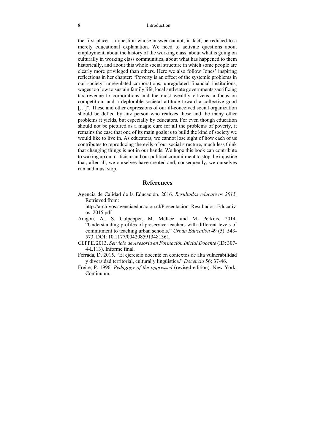the first place – a question whose answer cannot, in fact, be reduced to a merely educational explanation. We need to activate questions about employment, about the history of the working class, about what is going on culturally in working class communities, about what has happened to them historically, and about this whole social structure in which some people are clearly more privileged than others. Here we also follow Jones' inspiring reflections in her chapter: "Poverty is an effect of the systemic problems in our society: unregulated corporations, unregulated financial institutions, wages too low to sustain family life, local and state governments sacrificing tax revenue to corporations and the most wealthy citizens, a focus on competition, and a deplorable societal attitude toward a collective good [...]". These and other expressions of our ill-conceived social organization should be defied by any person who realizes these and the many other problems it yields, but especially by educators. For even though education should not be pictured as a magic cure for all the problems of poverty, it remains the case that one of its main goals is to build the kind of society we would like to live in. As educators, we cannot lose sight of how each of us contributes to reproducing the evils of our social structure, much less think that changing things is not in our hands. We hope this book can contribute to waking up our criticism and our political commitment to stop the injustice that, after all, we ourselves have created and, consequently, we ourselves can and must stop.

#### **References**

Agencia de Calidad de la Educación. 2016. *Resultados educativos 2015.*  Retrieved from:

http://archivos.agenciaeducacion.cl/Presentacion\_Resultados\_Educativ os\_2015.pdf

- Aragon, A., S. Culpepper, M. McKee, and M. Perkins. 2014. "Understanding profiles of preservice teachers with different levels of commitment to teaching urban schools." *Urban Education* 49 (5): 543- 573. DOI: 10.1177/0042085913481361.
- CEPPE. 2013. *Servicio de Asesoría en Formación Inicial Docente* (ID: 307- 4-L113). Informe final.
- Ferrada, D. 2015. "El ejercicio docente en contextos de alta vulnerabilidad y diversidad territorial, cultural y lingüística." *Docencia* 56: 37-46.
- Freire, P. 1996. *Pedagogy of the oppressed* (revised edition). New York: Continuum.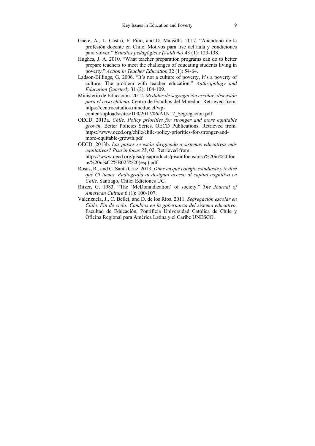- Gaete, A., L. Castro, F. Pino, and D. Mansilla. 2017. "Abandono de la profesión docente en Chile: Motivos para irse del aula y condiciones para volver." *Estudios pedagógicos (Valdivia)* 43 (1): 123-138.
- Hughes, J. A. 2010. "What teacher preparation programs can do to better prepare teachers to meet the challenges of educating students living in poverty." *Action in Teacher Education* 32 (1): 54-64.
- Ladson-Billings, G. 2006. "It's not a culture of poverty, it's a poverty of culture: The problem with teacher education." *Anthropology and Education Quarterly* 31 (2): 104-109.
- Ministerio de Educación. 2012. *Medidas de segregación escolar: discusión para el caso chileno*. Centro de Estudios del Mineduc. Retrieved from: https://centroestudios.mineduc.cl/wpcontent/uploads/sites/100/2017/06/A1N12\_Segregacion.pdf
- OECD. 2013a. *Chile. Policy priorities for stronger and more equitable growth*. Better Policies Series. OECD Publications. Retrieved from: https://www.oecd.org/chile/chile-policy-priorities-for-stronger-andmore-equitable-growth.pdf
- OECD. 2013b. *Los países se están dirigiendo a sistemas educativos más equitativos? Pisa in focus 25*, 02. Retrieved from: https://www.oecd.org/pisa/pisaproducts/pisainfocus/pisa%20in%20foc us%20n%C2%B025%20(esp).pdf
- Rosas, R., and C. Santa Cruz. 2013. *Dime en qué colegio estudiaste y te diré qué CI tienes. Radiografía al desigual acceso al capital cognitivo en Chile.* Santiago, Chile: Ediciones UC.
- Ritzer, G. 1983. "The 'McDonaldization' of society." *The Journal of American Culture* 6 (1): 100-107.
- Valenzuela, J., C. Bellei, and D. de los Ríos. 2011. *Segregación escolar en Chile. Fin de ciclo: Cambios en la gobernanza del sistema educativo*. Facultad de Educación, Pontificia Universidad Católica de Chile y Oficina Regional para América Latina y el Caribe UNESCO.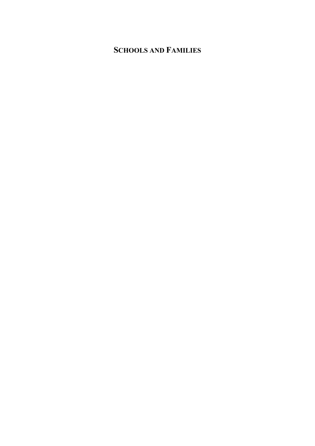## **SCHOOLS AND FAMILIES**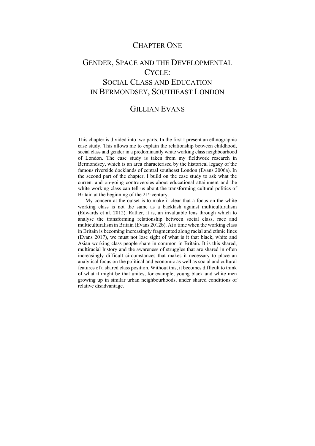### CHAPTER ONE

## GENDER, SPACE AND THE DEVELOPMENTAL CYCLE: SOCIAL CLASS AND EDUCATION IN BERMONDSEY, SOUTHEAST LONDON

### GILLIAN EVANS

This chapter is divided into two parts. In the first I present an ethnographic case study. This allows me to explain the relationship between childhood, social class and gender in a predominantly white working class neighbourhood of London. The case study is taken from my fieldwork research in Bermondsey, which is an area characterised by the historical legacy of the famous riverside docklands of central southeast London (Evans 2006a). In the second part of the chapter, I build on the case study to ask what the current and on-going controversies about educational attainment and the white working class can tell us about the transforming cultural politics of Britain at the beginning of the 21<sup>st</sup> century.

My concern at the outset is to make it clear that a focus on the white working class is not the same as a backlash against multiculturalism (Edwards et al. 2012). Rather, it is, an invaluable lens through which to analyse the transforming relationship between social class, race and multiculturalism in Britain (Evans 2012b). At a time when the working class in Britain is becoming increasingly fragmented along racial and ethnic lines (Evans 2017), we must not lose sight of what is it that black, white and Asian working class people share in common in Britain. It is this shared, multiracial history and the awareness of struggles that are shared in often increasingly difficult circumstances that makes it necessary to place an analytical focus on the political and economic as well as social and cultural features of a shared class position. Without this, it becomes difficult to think of what it might be that unites, for example, young black and white men growing up in similar urban neighbourhoods, under shared conditions of relative disadvantage.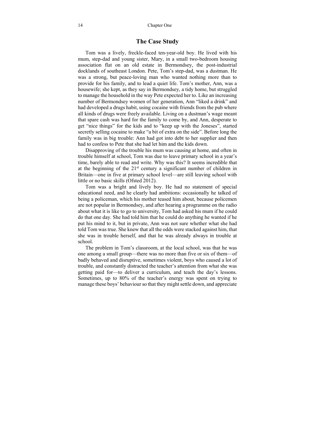#### **The Case Study**

Tom was a lively, freckle-faced ten-year-old boy. He lived with his mum, step-dad and young sister, Mary, in a small two-bedroom housing association flat on an old estate in Bermondsey, the post-industrial docklands of southeast London. Pete, Tom's step-dad, was a dustman. He was a strong, but peace-loving man who wanted nothing more than to provide for his family, and to lead a quiet life. Tom's mother, Ann, was a housewife; she kept, as they say in Bermondsey, a tidy home, but struggled to manage the household in the way Pete expected her to. Like an increasing number of Bermondsey women of her generation, Ann "liked a drink" and had developed a drugs habit, using cocaine with friends from the pub where all kinds of drugs were freely available. Living on a dustman's wage meant that spare cash was hard for the family to come by, and Ann, desperate to get "nice things" for the kids and to "keep up with the Joneses", started secretly selling cocaine to make "a bit of extra on the side". Before long the family was in big trouble: Ann had got into debt to her supplier and then had to confess to Pete that she had let him and the kids down.

Disapproving of the trouble his mum was causing at home, and often in trouble himself at school, Tom was due to leave primary school in a year's time, barely able to read and write. Why was this? It seems incredible that at the beginning of the  $21<sup>st</sup>$  century a significant number of children in Britain—one in five at primary school level—are still leaving school with little or no basic skills (Ofsted 2012).

Tom was a bright and lively boy. He had no statement of special educational need, and he clearly had ambitions: occasionally he talked of being a policeman, which his mother teased him about, because policemen are not popular in Bermondsey, and after hearing a programme on the radio about what it is like to go to university, Tom had asked his mum if he could do that one day. She had told him that he could do anything he wanted if he put his mind to it, but in private, Ann was not sure whether what she had told Tom was true. She knew that all the odds were stacked against him, that she was in trouble herself, and that he was already always in trouble at school.

The problem in Tom's classroom, at the local school, was that he was one among a small group—there was no more than five or six of them—of badly behaved and disruptive, sometimes violent, boys who caused a lot of trouble, and constantly distracted the teacher's attention from what she was getting paid for—to deliver a curriculum, and teach the day's lessons. Sometimes, up to 80% of the teacher's energy was spent on trying to manage these boys' behaviour so that they might settle down, and appreciate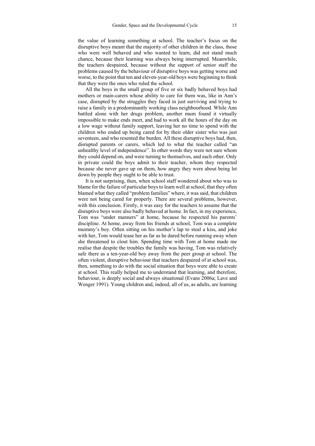the value of learning something at school. The teacher's focus on the disruptive boys meant that the majority of other children in the class, those who were well behaved and who wanted to learn, did not stand much chance, because their learning was always being interrupted. Meanwhile, the teachers despaired, because without the support of senior staff the problems caused by the behaviour of disruptive boys was getting worse and worse, to the point that ten and eleven-year-old boys were beginning to think that they were the ones who ruled the school.

All the boys in the small group of five or six badly behaved boys had mothers or main-carers whose ability to care for them was, like in Ann's case, disrupted by the struggles they faced in just surviving and trying to raise a family in a predominantly working class neighbourhood. While Ann battled alone with her drugs problem, another mum found it virtually impossible to make ends meet, and had to work all the hours of the day on a low wage without family support, leaving her no time to spend with the children who ended up being cared for by their older sister who was just seventeen, and who resented the burden. All these disruptive boys had, then, disrupted parents or carers, which led to what the teacher called "an unhealthy level of independence". In other words they were not sure whom they could depend on, and were turning to themselves, and each other. Only in private could the boys admit to their teacher, whom they respected because she never gave up on them, how angry they were about being let down by people they ought to be able to trust.

It is not surprising, then, when school staff wondered about who was to blame for the failure of particular boys to learn well at school, that they often blamed what they called "problem families" where, it was said, that children were not being cared for properly. There are several problems, however, with this conclusion. Firstly, it was easy for the teachers to assume that the disruptive boys were also badly behaved at home. In fact, in my experience, Tom was "under manners" at home, because he respected his parents' discipline. At home, away from his friends at school, Tom was a complete mummy's boy. Often sitting on his mother's lap to steal a kiss, and joke with her, Tom would tease her as far as he dared before running away when she threatened to clout him. Spending time with Tom at home made me realise that despite the troubles the family was having, Tom was relatively safe there as a ten-year-old boy away from the peer group at school. The often violent, disruptive behaviour that teachers despaired of at school was, then, something to do with the social situation that boys were able to create at school. This really helped me to understand that learning, and therefore, behaviour, is deeply social and always situational (Evans 2006a; Lave and Wenger 1991). Young children and, indeed, all of us, as adults, are learning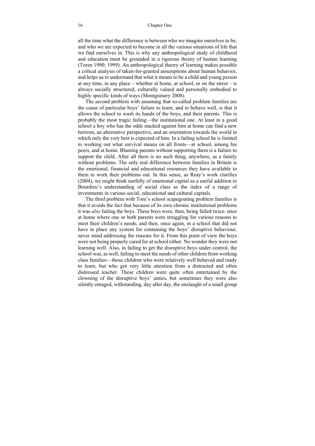all the time what the difference is between who we imagine ourselves to be, and who we are expected to become in all the various situations of life that we find ourselves in. This is why any anthropological study of childhood and education must be grounded in a rigorous theory of human learning (Toren 1990; 1999). An anthropological theory of learning makes possible a critical analysis of taken-for-granted assumptions about human behavior, and helps us to understand that what it means to be a child and young person at any time, in any place – whether at home, at school, or on the street – is always socially structured, culturally valued and personally embodied to highly specific kinds of ways (Montgomery 2008).

The second problem with assuming that so-called problem families are the cause of particular boys' failure to learn, and to behave well, is that it allows the school to wash its hands of the boys, and their parents. This is probably the most tragic failing—the institutional one. At least in a good school a boy who has the odds stacked against him at home can find a new horizon, an alternative perspective, and an orientation towards the world in which only the very best is expected of him. In a failing school he is limited to working out what survival means on all fronts—at school, among his peers, and at home. Blaming parents without supporting them is a failure to support the child. After all there is no such thing, anywhere, as a family without problems. The only real difference between families in Britain is the emotional, financial and educational resources they have available to them to work their problems out. In this sense, as Reay's work clarifies (2004), we might think usefully of emotional capital as a useful addition to Bourdieu's understanding of social class as the index of a range of investments in various social, educational and cultural capitals.

The third problem with Tom's school scapegoating problem families is that it avoids the fact that because of its own chronic institutional problems it was *also* failing the boys. These boys were, then, being failed twice: once at home where one or both parents were struggling for various reasons to meet their children's needs, and then, once again, in a school that did not have in place any system for containing the boys' disruptive behaviour, never mind addressing the reasons for it. From this point of view the boys were not being properly cared for at school either. No wonder they were not learning well. Also, in failing to get the disruptive boys under control, the school was, as well, failing to meet the needs of other children from working class families—those children who were relatively well behaved and ready to learn, but who got very little attention from a distracted and often distressed teacher. These children were quite often entertained by the clowning of the disruptive boys' antics, but sometimes they were also silently enraged, withstanding, day after day, the onslaught of a small group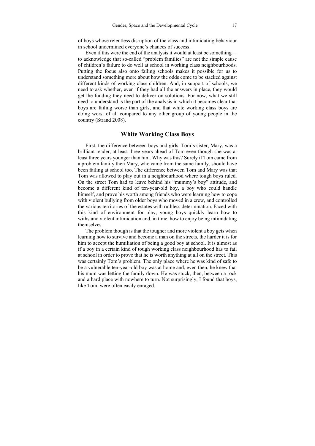of boys whose relentless disruption of the class and intimidating behaviour in school undermined everyone's chances of success.

Even if this were the end of the analysis it would at least be something to acknowledge that so-called "problem families" are not the simple cause of children's failure to do well at school in working class neighbourhoods. Putting the focus also onto failing schools makes it possible for us to understand something more about how the odds come to be stacked against different kinds of working class children. And, in support of schools, we need to ask whether, even if they had all the answers in place, they would get the funding they need to deliver on solutions. For now, what we still need to understand is the part of the analysis in which it becomes clear that boys are failing worse than girls, and that white working class boys are doing worst of all compared to any other group of young people in the country (Strand 2008).

#### **White Working Class Boys**

First, the difference between boys and girls. Tom's sister, Mary, was a brilliant reader, at least three years ahead of Tom even though she was at least three years younger than him. Why was this? Surely if Tom came from a problem family then Mary, who came from the same family, should have been failing at school too. The difference between Tom and Mary was that Tom was allowed to play out in a neighbourhood where tough boys ruled. On the street Tom had to leave behind his "mummy's boy" attitude, and become a different kind of ten-year-old boy, a boy who could handle himself, and prove his worth among friends who were learning how to cope with violent bullying from older boys who moved in a crew, and controlled the various territories of the estates with ruthless determination. Faced with this kind of environment for play, young boys quickly learn how to withstand violent intimidation and, in time, how to enjoy being intimidating themselves.

The problem though is that the tougher and more violent a boy gets when learning how to survive and become a man on the streets, the harder it is for him to accept the humiliation of being a good boy at school. It is almost as if a boy in a certain kind of tough working class neighbourhood has to fail at school in order to prove that he is worth anything at all on the street. This was certainly Tom's problem. The only place where he was kind of safe to be a vulnerable ten-year-old boy was at home and, even then, he knew that his mum was letting the family down. He was stuck, then, between a rock and a hard place with nowhere to turn. Not surprisingly, I found that boys, like Tom, were often easily enraged.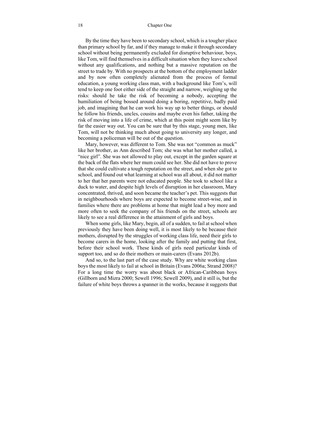By the time they have been to secondary school, which is a tougher place than primary school by far, and if they manage to make it through secondary school without being permanently excluded for disruptive behaviour, boys, like Tom, will find themselves in a difficult situation when they leave school without any qualifications, and nothing but a massive reputation on the street to trade by. With no prospects at the bottom of the employment ladder and by now often completely alienated from the process of formal education, a young working class man, with a background like Tom's, will tend to keep one foot either side of the straight and narrow, weighing up the risks: should he take the risk of becoming a nobody, accepting the humiliation of being bossed around doing a boring, repetitive, badly paid job, and imagining that he can work his way up to better things, or should he follow his friends, uncles, cousins and maybe even his father, taking the risk of moving into a life of crime, which at this point might seem like by far the easier way out. You can be sure that by this stage, young men, like Tom, will not be thinking much about going to university any longer, and becoming a policeman will be out of the question.

Mary, however, was different to Tom. She was not "common as muck" like her brother, as Ann described Tom; she was what her mother called, a "nice girl". She was not allowed to play out, except in the garden square at the back of the flats where her mum could see her. She did not have to prove that she could cultivate a tough reputation on the street, and when she got to school, and found out what learning at school was all about, it did not matter to her that her parents were not educated people. She took to school like a duck to water, and despite high levels of disruption in her classroom, Mary concentrated, thrived, and soon became the teacher's pet. This suggests that in neighbourhoods where boys are expected to become street-wise, and in families where there are problems at home that might lead a boy more and more often to seek the company of his friends on the street, schools are likely to see a real difference in the attainment of girls and boys.

When some girls, like Mary, begin, all of a sudden, to fail at school when previously they have been doing well, it is most likely to be because their mothers, disrupted by the struggles of working class life, need their girls to become carers in the home, looking after the family and putting that first, before their school work. These kinds of girls need particular kinds of support too, and so do their mothers or main-carers (Evans 2012b).

And so, to the last part of the case study. Why are white working class boys the most likely to fail at school in Britain (Evans 2006a; Strand 2008)? For a long time the worry was about black or African-Caribbean boys (Gillborn and Mizra 2000; Sewell 1996; Sewell 2009), and it still is, but the failure of white boys throws a spanner in the works, because it suggests that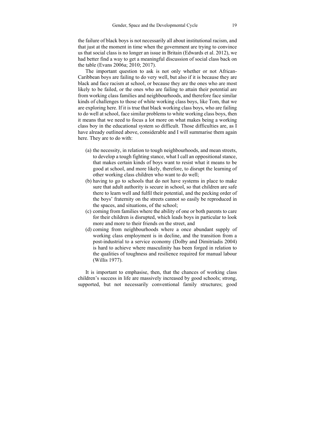the failure of black boys is not necessarily all about institutional racism, and that just at the moment in time when the government are trying to convince us that social class is no longer an issue in Britain (Edwards et al. 2012), we had better find a way to get a meaningful discussion of social class back on the table (Evans 2006a; 2010; 2017).

The important question to ask is not only whether or not African-Caribbean boys are failing to do very well, but also if it is because they are black and face racism at school, or because they are the ones who are most likely to be failed, or the ones who are failing to attain their potential are from working class families and neighbourhoods, and therefore face similar kinds of challenges to those of white working class boys, like Tom, that we are exploring here. If it is true that black working class boys, who are failing to do well at school, face similar problems to white working class boys, then it means that we need to focus a lot more on what makes being a working class boy in the educational system so difficult. Those difficulties are, as I have already outlined above, considerable and I will summarise them again here. They are to do with:

- (a) the necessity, in relation to tough neighbourhoods, and mean streets, to develop a tough fighting stance, what I call an oppositional stance, that makes certain kinds of boys want to resist what it means to be good at school, and more likely, therefore, to disrupt the learning of other working class children who want to do well;
- (b) having to go to schools that do not have systems in place to make sure that adult authority is secure in school, so that children are safe there to learn well and fulfil their potential, and the pecking order of the boys' fraternity on the streets cannot so easily be reproduced in the spaces, and situations, of the school;
- (c) coming from families where the ability of one or both parents to care for their children is disrupted, which leads boys in particular to look more and more to their friends on the street, and
- (d) coming from neighbourhoods where a once abundant supply of working class employment is in decline, and the transition from a post-industrial to a service economy (Dolby and Dimitriadis 2004) is hard to achieve where masculinity has been forged in relation to the qualities of toughness and resilience required for manual labour (Willis 1977).

It is important to emphasise, then, that the chances of working class children's success in life are massively increased by good schools; strong, supported, but not necessarily conventional family structures; good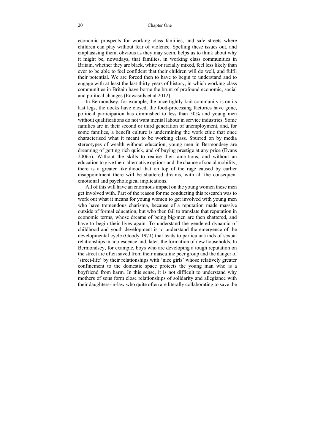#### 20 Chapter One

economic prospects for working class families, and safe streets where children can play without fear of violence. Spelling these issues out, and emphasising them, obvious as they may seem, helps us to think about why it might be, nowadays, that families, in working class communities in Britain, whether they are black, white or racially mixed, feel less likely than ever to be able to feel confident that their children will do well, and fulfil their potential. We are forced then to have to begin to understand and to engage with at least the last thirty years of history, in which working class communities in Britain have borne the brunt of profound economic, social and political changes (Edwasrds et al 2012).

In Bermondsey, for example, the once tightly-knit community is on its last legs, the docks have closed, the food-processing factories have gone, political participation has diminished to less than 50% and young men without qualifications do not want menial labour in service industries. Some families are in their second or third generation of unemployment, and, for some families, a benefit culture is undermining the work ethic that once characterised what it meant to be working class. Spurred on by media stereotypes of wealth without education, young men in Bermondsey are dreaming of getting rich quick, and of buying prestige at any price (Evans 2006b). Without the skills to realise their ambitions, and without an education to give them alternative options and the chance of social mobility, there is a greater likelihood that on top of the rage caused by earlier disappointment there will be shattered dreams, with all the consequent emotional and psychological implications.

All of this will have an enormous impact on the young women these men get involved with. Part of the reason for me conducting this research was to work out what it means for young women to get involved with young men who have tremendous charisma, because of a reputation made massive outside of formal education, but who then fail to translate that reputation in economic terms, whose dreams of being big-men are then shattered, and have to begin their lives again. To understand the gendered dynamic of childhood and youth development is to understand the emergence of the developmental cycle (Goody 1971) that leads to particular kinds of sexual relationships in adolescence and, later, the formation of new households. In Bermondsey, for example, boys who are developing a tough reputation on the street are often saved from their masculine peer group and the danger of 'street-life' by their relationships with 'nice girls' whose relatively greater confinement to the domestic space protects the young man who is a boyfriend from harm. In this sense, it is not difficult to understand why mothers of sons form close relationships of solidarity and allegiance with their daughters-in-law who quite often are literally collaborating to save the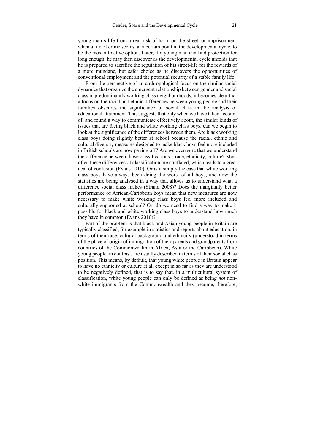young man's life from a real risk of harm on the street, or imprisonment when a life of crime seems, at a certain point in the developmental cycle, to be the most attractive option. Later, if a young man can find protection for long enough, he may then discover as the developmental cycle unfolds that he is prepared to sacrifice the reputation of his street-life for the rewards of a more mundane, but safer choice as he discovers the opportunities of conventional employment and the potential security of a stable family life.

From the perspective of an anthropological focus on the similar social dynamics that organize the emergent relationship between gender and social class in predominantly working class neighbourhoods, it becomes clear that a focus on the racial and ethnic differences between young people and their families obscures the significance of social class in the analysis of educational attainment. This suggests that only when we have taken account of, and found a way to communicate effectively about, the similar kinds of issues that are facing black and white working class boys, can we begin to look at the significance of the differences between them. Are black working class boys doing slightly better at school because the racial, ethnic and cultural diversity measures designed to make black boys feel more included in British schools are now paying off? Are we even sure that we understand the difference between those classifications—race, ethnicity, culture? Most often these differences of classification are conflated, which leads to a great deal of confusion (Evans 2010). Or is it simply the case that white working class boys have always been doing the worst of all boys, and now the statistics are being analysed in a way that allows us to understand what a difference social class makes (Strand 2008)? Does the marginally better performance of African-Caribbean boys mean that new measures are now necessary to make white working class boys feel more included and culturally supported at school? Or, do we need to find a way to make it possible for black and white working class boys to understand how much they have in common (Evans 2010)?

Part of the problem is that black and Asian young people in Britain are typically classified, for example in statistics and reports about education, in terms of their race, cultural background and ethnicity (understood in terms of the place of origin of immigration of their parents and grandparents from countries of the Commonwealth in Africa, Asia or the Caribbean). White young people, in contrast, are usually described in terms of their social class position. This means, by default, that young white people in Britain appear to have no ethnicity or culture at all except in so far as they are understood to be negatively defined, that is to say that, in a multicultural system of classification, white young people can only be defined as being *not* nonwhite immigrants from the Commonwealth and they become, therefore,